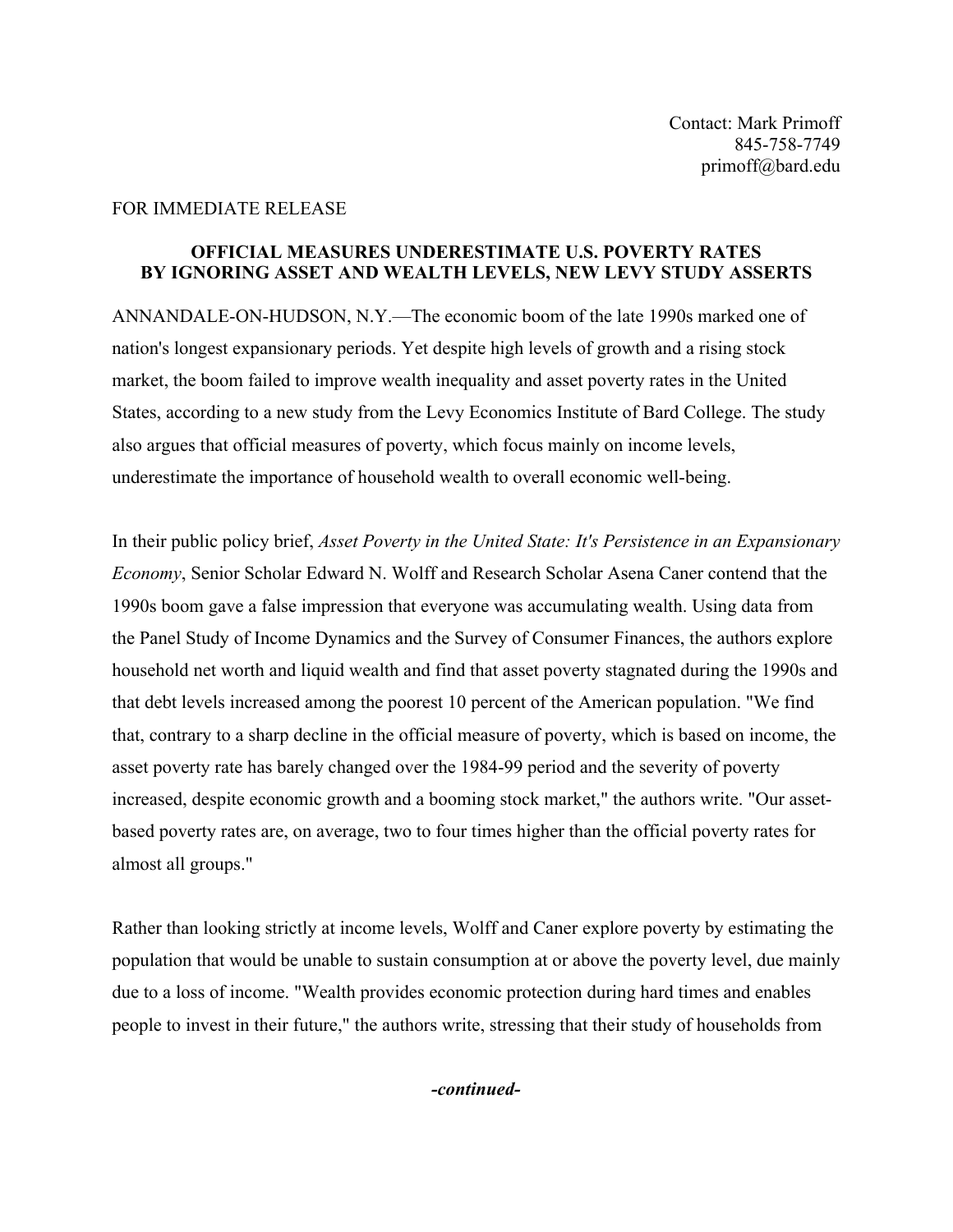## FOR IMMEDIATE RELEASE

## **OFFICIAL MEASURES UNDERESTIMATE U.S. POVERTY RATES BY IGNORING ASSET AND WEALTH LEVELS, NEW LEVY STUDY ASSERTS**

ANNANDALE-ON-HUDSON, N.Y.—The economic boom of the late 1990s marked one of nation's longest expansionary periods. Yet despite high levels of growth and a rising stock market, the boom failed to improve wealth inequality and asset poverty rates in the United States, according to a new study from the Levy Economics Institute of Bard College. The study also argues that official measures of poverty, which focus mainly on income levels, underestimate the importance of household wealth to overall economic well-being.

In their public policy brief, *Asset Poverty in the United State: It's Persistence in an Expansionary Economy*, Senior Scholar Edward N. Wolff and Research Scholar Asena Caner contend that the 1990s boom gave a false impression that everyone was accumulating wealth. Using data from the Panel Study of Income Dynamics and the Survey of Consumer Finances, the authors explore household net worth and liquid wealth and find that asset poverty stagnated during the 1990s and that debt levels increased among the poorest 10 percent of the American population. "We find that, contrary to a sharp decline in the official measure of poverty, which is based on income, the asset poverty rate has barely changed over the 1984-99 period and the severity of poverty increased, despite economic growth and a booming stock market," the authors write. "Our assetbased poverty rates are, on average, two to four times higher than the official poverty rates for almost all groups."

Rather than looking strictly at income levels, Wolff and Caner explore poverty by estimating the population that would be unable to sustain consumption at or above the poverty level, due mainly due to a loss of income. "Wealth provides economic protection during hard times and enables people to invest in their future," the authors write, stressing that their study of households from

*-continued-*